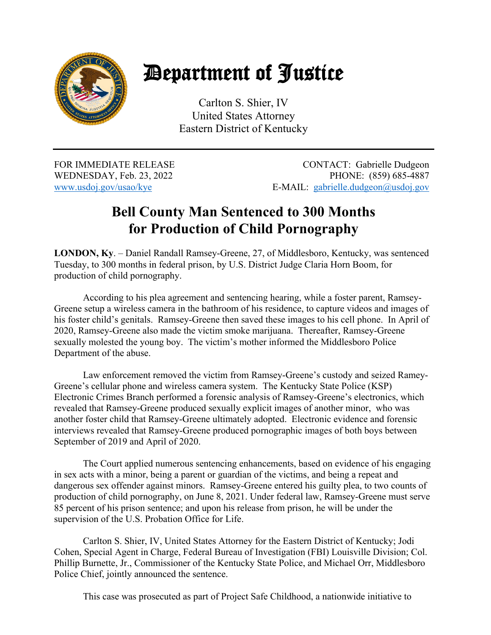

## Department of Justice

Carlton S. Shier, IV United States Attorney Eastern District of Kentucky

WEDNESDAY, Feb. 23, 2022

FOR IMMEDIATE RELEASE CONTACT: Gabrielle Dudgeon<br>WEDNESDAY, Feb. 23, 2022 PHONE: (859) 685-4887 www.usdoj.gov/usao/kye E-MAIL: gabrielle.dudgeon@usdoj.gov

## **Bell County Man Sentenced to 300 Months for Production of Child Pornography**

**LONDON, Ky**. – Daniel Randall Ramsey-Greene, 27, of Middlesboro, Kentucky, was sentenced Tuesday, to 300 months in federal prison, by U.S. District Judge Claria Horn Boom, for production of child pornography.

According to his plea agreement and sentencing hearing, while a foster parent, Ramsey-Greene setup a wireless camera in the bathroom of his residence, to capture videos and images of his foster child's genitals. Ramsey-Greene then saved these images to his cell phone. In April of 2020, Ramsey-Greene also made the victim smoke marijuana. Thereafter, Ramsey-Greene sexually molested the young boy. The victim's mother informed the Middlesboro Police Department of the abuse.

Law enforcement removed the victim from Ramsey-Greene's custody and seized Ramey-Greene's cellular phone and wireless camera system. The Kentucky State Police (KSP) Electronic Crimes Branch performed a forensic analysis of Ramsey-Greene's electronics, which revealed that Ramsey-Greene produced sexually explicit images of another minor, who was another foster child that Ramsey-Greene ultimately adopted. Electronic evidence and forensic interviews revealed that Ramsey-Greene produced pornographic images of both boys between September of 2019 and April of 2020.

The Court applied numerous sentencing enhancements, based on evidence of his engaging in sex acts with a minor, being a parent or guardian of the victims, and being a repeat and dangerous sex offender against minors. Ramsey-Greene entered his guilty plea, to two counts of production of child pornography, on June 8, 2021. Under federal law, Ramsey-Greene must serve 85 percent of his prison sentence; and upon his release from prison, he will be under the supervision of the U.S. Probation Office for Life.

Carlton S. Shier, IV, United States Attorney for the Eastern District of Kentucky; Jodi Cohen, Special Agent in Charge, Federal Bureau of Investigation (FBI) Louisville Division; Col. Phillip Burnette, Jr., Commissioner of the Kentucky State Police, and Michael Orr, Middlesboro Police Chief, jointly announced the sentence.

This case was prosecuted as part of Project Safe Childhood, a nationwide initiative to